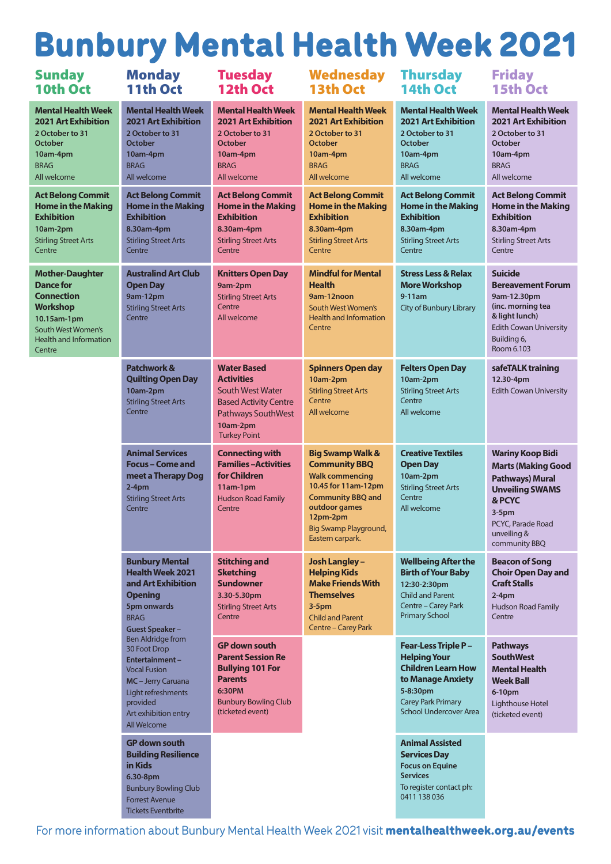# Bunbury Mental Health Week 2021

| <b>Sunday</b><br>10th Oct                                                                                                                                   | <b>Monday</b><br>11th Oct                                                                                                                                                                                                                                                                                                                  | <b>Tuesday</b><br><b>12th Oct</b>                                                                                                                           | <b>Wednesday</b><br><b>13th Oct</b>                                                                                                                                                                               | <b>Thursday</b><br><b>14th Oct</b>                                                                                                                                             | <b>Friday</b><br><b>15th Oct</b>                                                                                                                                                   |
|-------------------------------------------------------------------------------------------------------------------------------------------------------------|--------------------------------------------------------------------------------------------------------------------------------------------------------------------------------------------------------------------------------------------------------------------------------------------------------------------------------------------|-------------------------------------------------------------------------------------------------------------------------------------------------------------|-------------------------------------------------------------------------------------------------------------------------------------------------------------------------------------------------------------------|--------------------------------------------------------------------------------------------------------------------------------------------------------------------------------|------------------------------------------------------------------------------------------------------------------------------------------------------------------------------------|
| <b>Mental Health Week</b><br><b>2021 Art Exhibition</b><br>2 October to 31<br><b>October</b><br>10am-4pm<br><b>BRAG</b><br>All welcome                      | <b>Mental Health Week</b><br><b>2021 Art Exhibition</b><br>2 October to 31<br><b>October</b><br>10am-4pm<br><b>BRAG</b><br>All welcome                                                                                                                                                                                                     | <b>Mental Health Week</b><br><b>2021 Art Exhibition</b><br>2 October to 31<br><b>October</b><br>10am-4pm<br><b>BRAG</b><br>All welcome                      | <b>Mental Health Week</b><br><b>2021 Art Exhibition</b><br>2 October to 31<br><b>October</b><br>10am-4pm<br><b>BRAG</b><br>All welcome                                                                            | <b>Mental Health Week</b><br><b>2021 Art Exhibition</b><br>2 October to 31<br><b>October</b><br>10am-4pm<br><b>BRAG</b><br>All welcome                                         | <b>Mental Health Week</b><br><b>2021 Art Exhibition</b><br>2 October to 31<br>October<br>10am-4pm<br><b>BRAG</b><br>All welcome                                                    |
| <b>Act Belong Commit</b><br><b>Home in the Making</b><br><b>Exhibition</b><br>10am-2pm<br><b>Stirling Street Arts</b><br>Centre                             | <b>Act Belong Commit</b><br><b>Home in the Making</b><br><b>Exhibition</b><br>8.30am-4pm<br><b>Stirling Street Arts</b><br>Centre                                                                                                                                                                                                          | <b>Act Belong Commit</b><br><b>Home in the Making</b><br><b>Exhibition</b><br>8.30am-4pm<br><b>Stirling Street Arts</b><br>Centre                           | <b>Act Belong Commit</b><br><b>Home in the Making</b><br><b>Exhibition</b><br>8.30am-4pm<br><b>Stirling Street Arts</b><br>Centre                                                                                 | <b>Act Belong Commit</b><br><b>Home in the Making</b><br><b>Exhibition</b><br>8.30am-4pm<br><b>Stirling Street Arts</b><br>Centre                                              | <b>Act Belong Commit</b><br><b>Home in the Making</b><br><b>Exhibition</b><br>8.30am-4pm<br><b>Stirling Street Arts</b><br>Centre                                                  |
| <b>Mother-Daughter</b><br>Dance for<br><b>Connection</b><br><b>Workshop</b><br>10.15am-1pm<br>South West Women's<br><b>Health and Information</b><br>Centre | <b>Australind Art Club</b><br><b>Open Day</b><br>9am-12pm<br><b>Stirling Street Arts</b><br>Centre                                                                                                                                                                                                                                         | <b>Knitters Open Day</b><br>9am-2pm<br><b>Stirling Street Arts</b><br>Centre<br>All welcome                                                                 | <b>Mindful for Mental</b><br><b>Health</b><br>9am-12noon<br>South West Women's<br><b>Health and Information</b><br>Centre                                                                                         | <b>Stress Less &amp; Relax</b><br><b>More Workshop</b><br>$9-11am$<br><b>City of Bunbury Library</b>                                                                           | <b>Suicide</b><br><b>Bereavement Forum</b><br>9am-12.30pm<br>(inc. morning tea<br>& light lunch)<br><b>Edith Cowan University</b><br>Building 6,<br>Room 6.103                     |
|                                                                                                                                                             | Patchwork &<br><b>Quilting Open Day</b><br>10am-2pm<br><b>Stirling Street Arts</b><br>Centre                                                                                                                                                                                                                                               | <b>Water Based</b><br><b>Activities</b><br><b>South West Water</b><br><b>Based Activity Centre</b><br>Pathways SouthWest<br>10am-2pm<br><b>Turkey Point</b> | <b>Spinners Open day</b><br>10am-2pm<br><b>Stirling Street Arts</b><br>Centre<br>All welcome                                                                                                                      | <b>Felters Open Day</b><br>10am-2pm<br><b>Stirling Street Arts</b><br>Centre<br>All welcome                                                                                    | safeTALK training<br>12.30-4pm<br><b>Edith Cowan University</b>                                                                                                                    |
|                                                                                                                                                             | <b>Animal Services</b><br><b>Focus - Come and</b><br>meet a Therapy Dog<br>$2-4pm$<br><b>Stirling Street Arts</b><br>Centre                                                                                                                                                                                                                | <b>Connecting with</b><br><b>Families-Activities</b><br>for Children<br>11am-1pm<br><b>Hudson Road Family</b><br>Centre                                     | <b>Big Swamp Walk &amp;</b><br><b>Community BBQ</b><br><b>Walk commencing</b><br>10.45 for 11am-12pm<br><b>Community BBQ and</b><br>outdoor games<br>12pm-2pm<br><b>Big Swamp Playground,</b><br>Eastern carpark. | <b>Creative Textiles</b><br><b>Open Day</b><br>10am-2pm<br><b>Stirling Street Arts</b><br>Centre<br>All welcome                                                                | <b>Wariny Koop Bidi</b><br><b>Marts (Making Good</b><br><b>Pathways) Mural</b><br><b>Unveiling SWAMS</b><br>& PCYC<br>$3-5pm$<br>PCYC, Parade Road<br>unveiling &<br>community BBQ |
|                                                                                                                                                             | <b>Bunbury Mental</b><br><b>Health Week 2021</b><br>and Art Exhibition<br><b>Opening</b><br>5pm onwards<br><b>BRAG</b><br><b>Guest Speaker-</b><br><b>Ben Aldridge from</b><br>30 Foot Drop<br>Entertainment-<br><b>Vocal Fusion</b><br><b>MC</b> – Jerry Caruana<br>Light refreshments<br>provided<br>Art exhibition entry<br>All Welcome | <b>Stitching and</b><br><b>Sketching</b><br><b>Sundowner</b><br>3.30-5.30pm<br><b>Stirling Street Arts</b><br>Centre                                        | <b>Josh Langley -</b><br><b>Helping Kids</b><br><b>Make Friends With</b><br><b>Themselves</b><br>$3-5pm$<br><b>Child and Parent</b><br><b>Centre - Carey Park</b>                                                 | <b>Wellbeing After the</b><br><b>Birth of Your Baby</b><br>12:30-2:30pm<br><b>Child and Parent</b><br>Centre - Carey Park<br><b>Primary School</b>                             | <b>Beacon of Song</b><br><b>Choir Open Day and</b><br><b>Craft Stalls</b><br>$2-4pm$<br><b>Hudson Road Family</b><br>Centre                                                        |
|                                                                                                                                                             |                                                                                                                                                                                                                                                                                                                                            | <b>GP down south</b><br><b>Parent Session Re</b><br><b>Bullying 101 For</b><br><b>Parents</b><br>6:30PM<br><b>Bunbury Bowling Club</b><br>(ticketed event)  |                                                                                                                                                                                                                   | <b>Fear-Less Triple P -</b><br><b>Helping Your</b><br><b>Children Learn How</b><br>to Manage Anxiety<br>5-8:30pm<br><b>Carey Park Primary</b><br><b>School Undercover Area</b> | <b>Pathways</b><br><b>SouthWest</b><br><b>Mental Health</b><br><b>Week Ball</b><br>6-10pm<br>Lighthouse Hotel<br>(ticketed event)                                                  |
|                                                                                                                                                             | <b>GP down south</b><br><b>Building Resilience</b><br>in Kids<br>6.30-8pm<br><b>Bunbury Bowling Club</b><br><b>Forrest Avenue</b><br><b>Tickets Eventbrite</b>                                                                                                                                                                             |                                                                                                                                                             |                                                                                                                                                                                                                   | <b>Animal Assisted</b><br><b>Services Day</b><br><b>Focus on Equine</b><br><b>Services</b><br>To register contact ph:<br>0411 138 036                                          |                                                                                                                                                                                    |

For more information about Bunbury Mental Health Week 2021 visit mentalhealthweek.org.au/events